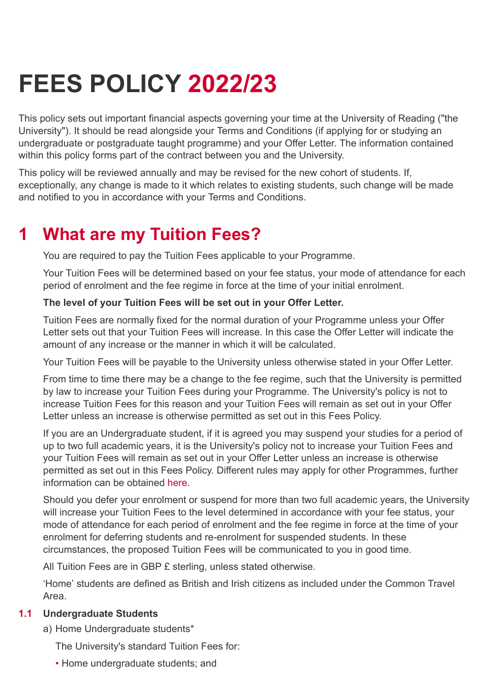# **FEES POLICY 2022/23**

This policy sets out important financial aspects governing your time at the University of Reading ("the University"). It should be read alongside your Terms and Conditions (if applying for or studying an undergraduate or postgraduate taught programme) and your Offer Letter. The information contained within this policy forms part of the contract between you and the University.

This policy will be reviewed annually and may be revised for the new cohort of students. If, exceptionally, any change is made to it which relates to existing students, such change will be made and notified to you in accordance with your Terms and Conditions.

### **What are my Tuition Fees? 1**

You are required to pay the Tuition Fees applicable to your Programme.

Your Tuition Fees will be determined based on your fee status, your mode of attendance for each period of enrolment and the fee regime in force at the time of your initial enrolment.

## **The level of your Tuition Fees will be set out in your Offer Letter.**

Tuition Fees are normally fixed for the normal duration of your Programme unless your Offer Letter sets out that your Tuition Fees will increase. In this case the Offer Letter will indicate the amount of any increase or the manner in which it will be calculated.

Your Tuition Fees will be payable to the University unless otherwise stated in your Offer Letter.

From time to time there may be a change to the fee regime, such that the University is permitted by law to increase your Tuition Fees during your Programme. The University's policy is not to increase Tuition Fees for this reason and your Tuition Fees will remain as set out in your Offer Letter unless an increase is otherwise permitted as set out in this Fees Policy.

If you are an Undergraduate student, if it is agreed you may suspend your studies for a period of up to two full academic years, it is the University's policy not to increase your Tuition Fees and your Tuition Fees will remain as set out in your Offer Letter unless an increase is otherwise permitted as set out in this Fees Policy. Different rules may apply for other Programmes, further information can be obtained [here](https://www.reading.ac.uk/essentials/The-Important-Stuff/Rules-and-regulations/Suspensions#:~:text=The%20University%20supports%20students%20who,has%20a%20policy%20on%20this.aspx).

Should you defer your enrolment or suspend for more than two full academic years, the University will increase your Tuition Fees to the level determined in accordance with your fee status, your mode of attendance for each period of enrolment and the fee regime in force at the time of your enrolment for deferring students and re-enrolment for suspended students. In these circumstances, the proposed Tuition Fees will be communicated to you in good time.

All Tuition Fees are in GBP £ sterling, unless stated otherwise.

'Home' students are defined as British and Irish citizens as included under the Common Travel Area.

## **1.1 Undergraduate Students**

a) Home Undergraduate students\*

The University's standard Tuition Fees for:

• Home undergraduate students; and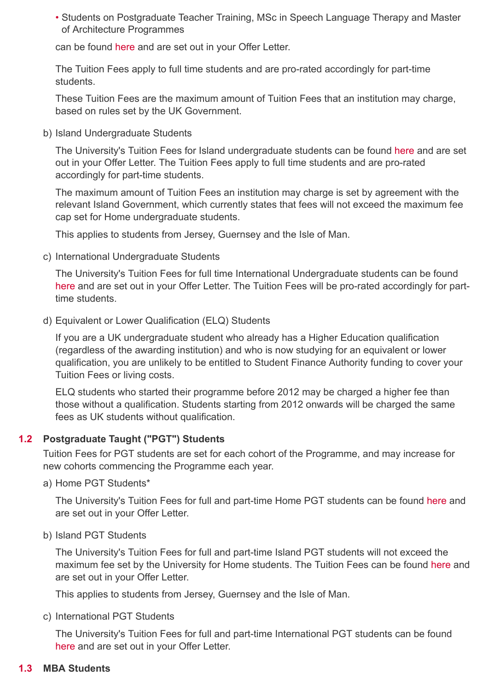Students on Postgraduate Teacher Training, MSc in Speech Language Therapy and Master • of Architecture Programmes

can be found [here](https://www.reading.ac.uk/essentials/money_matters/tuition-fees/fee-tables.aspx) and are set out in your Offer Letter.

The Tuition Fees apply to full time students and are pro-rated accordingly for part-time students.

These Tuition Fees are the maximum amount of Tuition Fees that an institution may charge, based on rules set by the UK Government.

b) Island Undergraduate Students

The University's Tuition Fees for Island undergraduate students can be found [here](https://www.reading.ac.uk/essentials/money_matters/tuition-fees/fee-tables.aspx) and are set out in your Offer Letter. The Tuition Fees apply to full time students and are pro-rated accordingly for part-time students.

The maximum amount of Tuition Fees an institution may charge is set by agreement with the relevant Island Government, which currently states that fees will not exceed the maximum fee cap set for Home undergraduate students.

This applies to students from Jersey, Guernsey and the Isle of Man.

c) International Undergraduate Students

The University's Tuition Fees for full time International Undergraduate students can be found [here](https://www.reading.ac.uk/essentials/money_matters/tuition-fees/fee-tables.aspx) and are set out in your Offer Letter. The Tuition Fees will be pro-rated accordingly for parttime students.

Equivalent or Lower Qualification (ELQ) Students d)

If you are a UK undergraduate student who already has a Higher Education qualification (regardless of the awarding institution) and who is now studying for an equivalent or lower qualification, you are unlikely to be entitled to Student Finance Authority funding to cover your Tuition Fees or living costs.

ELQ students who started their programme before 2012 may be charged a higher fee than those without a qualification. Students starting from 2012 onwards will be charged the same fees as UK students without qualification.

## **Postgraduate Taught ("PGT") Students 1.2**

Tuition Fees for PGT students are set for each cohort of the Programme, and may increase for new cohorts commencing the Programme each year.

a) Home PGT Students\*

The University's Tuition Fees for full and part-time Home PGT students can be found [here](https://www.reading.ac.uk/essentials/money_matters/tuition-fees/fee-tables.aspx) and are set out in your Offer Letter.

b) Island PGT Students

The University's Tuition Fees for full and part-time Island PGT students will not exceed the maximum fee set by the University for Home students. The Tuition Fees can be found [here](https://www.reading.ac.uk/essentials/money_matters/tuition-fees/fee-tables.aspx) and are set out in your Offer Letter.

This applies to students from Jersey, Guernsey and the Isle of Man.

c) International PGT Students

The University's Tuition Fees for full and part-time International PGT students can be found [here](https://www.reading.ac.uk/essentials/money_matters/tuition-fees/fee-tables.aspx) and are set out in your Offer Letter.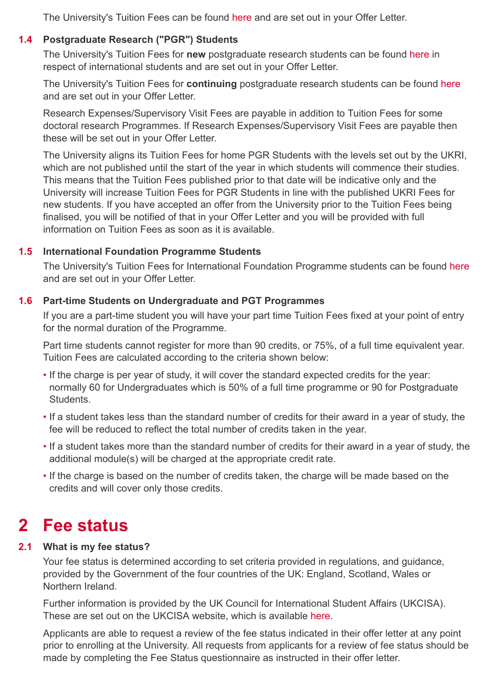The University's Tuition Fees can be found [here](https://www.reading.ac.uk/essentials/money_matters/tuition-fees/fee-tables.aspx) and are set out in your Offer Letter.

#### **Postgraduate Research ("PGR") Students 1.4**

The University's Tuition Fees for **new** postgraduate research students can be found [here](https://www.reading.ac.uk/essentials/Money_matters/Tuition-fees/Fee-Tables.aspx) in respect of international students and are set out in your Offer Letter.

The University's Tuition Fees for **continuing** postgraduate research students can be found [here](https://www.reading.ac.uk/essentials/money_matters/tuition-fees/fee-tables.aspx) and are set out in your Offer Letter.

Research Expenses/Supervisory Visit Fees are payable in addition to Tuition Fees for some doctoral research Programmes. If Research Expenses/Supervisory Visit Fees are payable then these will be set out in your Offer Letter.

The University aligns its Tuition Fees for home PGR Students with the levels set out by the UKRI, which are not published until the start of the year in which students will commence their studies. This means that the Tuition Fees published prior to that date will be indicative only and the University will increase Tuition Fees for PGR Students in line with the published UKRI Fees for new students. If you have accepted an offer from the University prior to the Tuition Fees being finalised, you will be notified of that in your Offer Letter and you will be provided with full information on Tuition Fees as soon as it is available.

#### **International Foundation Programme Students 1.5**

The University's Tuition Fees for International Foundation Programme students can be found [here](http://www.reading.ac.uk/ready-to-study/study/Subject-area/international-foundation-programme-ifp-ug.aspx) and are set out in your Offer Letter.

## **Part-time Students on Undergraduate and PGT Programmes 1.6**

If you are a part-time student you will have your part time Tuition Fees fixed at your point of entry for the normal duration of the Programme.

Part time students cannot register for more than 90 credits, or 75%, of a full time equivalent year. Tuition Fees are calculated according to the criteria shown below:

- If the charge is per year of study, it will cover the standard expected credits for the year: normally 60 for Undergraduates which is 50% of a full time programme or 90 for Postgraduate **Students**
- If a student takes less than the standard number of credits for their award in a year of study, the fee will be reduced to reflect the total number of credits taken in the year.
- If a student takes more than the standard number of credits for their award in a year of study, the additional module(s) will be charged at the appropriate credit rate.
- If the charge is based on the number of credits taken, the charge will be made based on the credits and will cover only those credits.

## **2 Fee status**

#### **What is my fee status? 2.1**

Your fee status is determined according to set criteria provided in regulations, and guidance, provided by the Government of the four countries of the UK: England, Scotland, Wales or Northern Ireland.

Further information is provided by the UK Council for International Student Affairs (UKCISA). These are set out on the UKCISA website, which is available [here](http://www.ukcisa.org.uk/Information--Advice/Fees-and-Money/Home-or-Overseas-fees-the-basics#layer-3834).

Applicants are able to request a review of the fee status indicated in their offer letter at any point prior to enrolling at the University. All requests from applicants for a review of fee status should be made by completing the Fee Status questionnaire as instructed in their offer letter.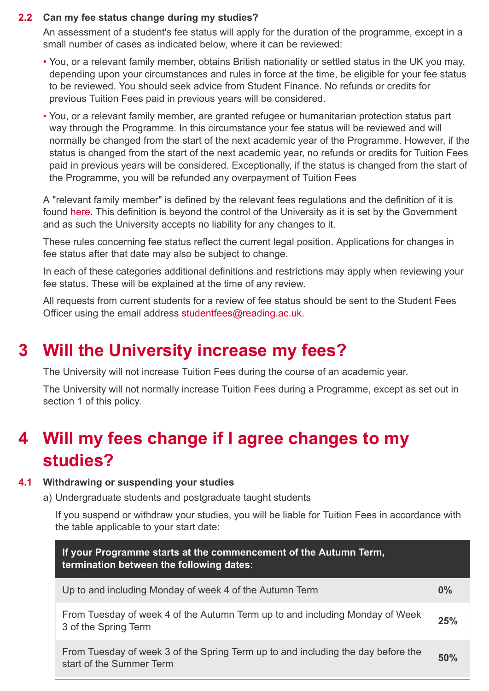## **Can my fee status change during my studies? 2.2**

An assessment of a student's fee status will apply for the duration of the programme, except in a small number of cases as indicated below, where it can be reviewed:

- You, or a relevant family member, obtains British nationality or settled status in the UK you may, depending upon your circumstances and rules in force at the time, be eligible for your fee status to be reviewed. You should seek advice from Student Finance. No refunds or credits for previous Tuition Fees paid in previous years will be considered.
- You, or a relevant family member, are granted refugee or humanitarian protection status part way through the Programme. In this circumstance your fee status will be reviewed and will normally be changed from the start of the next academic year of the Programme. However, if the status is changed from the start of the next academic year, no refunds or credits for Tuition Fees paid in previous years will be considered. Exceptionally, if the status is changed from the start of the Programme, you will be refunded any overpayment of Tuition Fees

A "relevant family member" is defined by the relevant fees regulations and the definition of it is found [here.](http://www.ukcisa.org.uk/cms_content_panel.aspx?id=3982) This definition is beyond the control of the University as it is set by the Government and as such the University accepts no liability for any changes to it.

These rules concerning fee status reflect the current legal position. Applications for changes in fee status after that date may also be subject to change.

In each of these categories additional definitions and restrictions may apply when reviewing your fee status. These will be explained at the time of any review.

All requests from current students for a review of fee status should be sent to the Student Fees Officer using the email address [studentfees@reading.ac.uk.](mailto:studentfees@reading.ac.uk)

### **Will the University increase my fees? 3**

The University will not increase Tuition Fees during the course of an academic year.

The University will not normally increase Tuition Fees during a Programme, except as set out in section 1 of this policy.

## **Will my fees change if I agree changes to my 4 studies?**

## **4.1 Withdrawing or suspending your studies**

Undergraduate students and postgraduate taught students a)

If you suspend or withdraw your studies, you will be liable for Tuition Fees in accordance with the table applicable to your start date:

| If your Programme starts at the commencement of the Autumn Term,<br>termination between the following dates: |       |
|--------------------------------------------------------------------------------------------------------------|-------|
| Up to and including Monday of week 4 of the Autumn Term                                                      | $0\%$ |
| From Tuesday of week 4 of the Autumn Term up to and including Monday of Week<br>3 of the Spring Term         | 25%   |
| From Tuesday of week 3 of the Spring Term up to and including the day before the<br>start of the Summer Term | 50%   |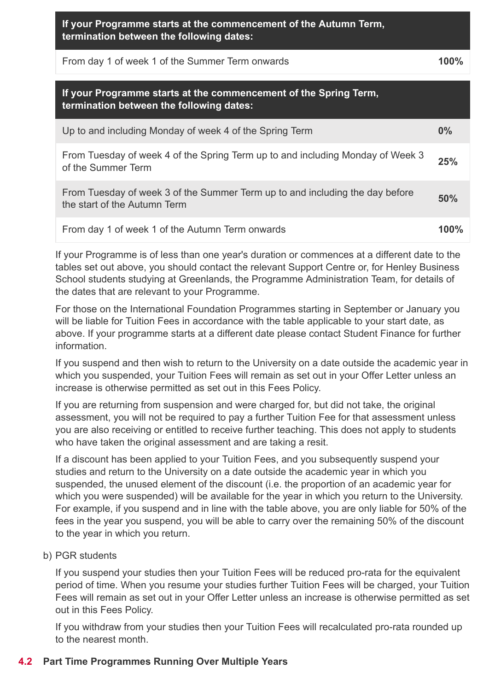| If your Programme starts at the commencement of the Autumn Term, |
|------------------------------------------------------------------|
| termination between the following dates:                         |

| From day 1 of week 1 of the Summer Term onwards |  |
|-------------------------------------------------|--|
|-------------------------------------------------|--|

## **If your Programme starts at the commencement of the Spring Term, termination between the following dates:**

| Up to and including Monday of week 4 of the Spring Term                                                      | 0%   |
|--------------------------------------------------------------------------------------------------------------|------|
| From Tuesday of week 4 of the Spring Term up to and including Monday of Week 3<br>of the Summer Term         | 25%  |
| From Tuesday of week 3 of the Summer Term up to and including the day before<br>the start of the Autumn Term | 50%  |
| From day 1 of week 1 of the Autumn Term onwards                                                              | 100% |

If your Programme is of less than one year's duration or commences at a different date to the tables set out above, you should contact the relevant Support Centre or, for Henley Business School students studying at Greenlands, the Programme Administration Team, for details of the dates that are relevant to your Programme.

For those on the International Foundation Programmes starting in September or January you will be liable for Tuition Fees in accordance with the table applicable to your start date, as above. If your programme starts at a different date please contact Student Finance for further information.

If you suspend and then wish to return to the University on a date outside the academic year in which you suspended, your Tuition Fees will remain as set out in your Offer Letter unless an increase is otherwise permitted as set out in this Fees Policy.

If you are returning from suspension and were charged for, but did not take, the original assessment, you will not be required to pay a further Tuition Fee for that assessment unless you are also receiving or entitled to receive further teaching. This does not apply to students who have taken the original assessment and are taking a resit.

If a discount has been applied to your Tuition Fees, and you subsequently suspend your studies and return to the University on a date outside the academic year in which you suspended, the unused element of the discount (i.e. the proportion of an academic year for which you were suspended) will be available for the year in which you return to the University. For example, if you suspend and in line with the table above, you are only liable for 50% of the fees in the year you suspend, you will be able to carry over the remaining 50% of the discount to the year in which you return.

PGR students b)

If you suspend your studies then your Tuition Fees will be reduced pro-rata for the equivalent period of time. When you resume your studies further Tuition Fees will be charged, your Tuition Fees will remain as set out in your Offer Letter unless an increase is otherwise permitted as set out in this Fees Policy.

If you withdraw from your studies then your Tuition Fees will recalculated pro-rata rounded up to the nearest month.

## **4.2 Part Time Programmes Running Over Multiple Years**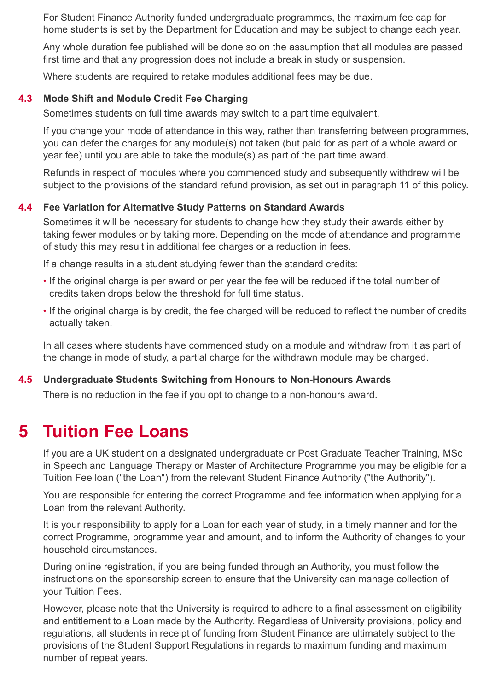For Student Finance Authority funded undergraduate programmes, the maximum fee cap for home students is set by the Department for Education and may be subject to change each year.

Any whole duration fee published will be done so on the assumption that all modules are passed first time and that any progression does not include a break in study or suspension.

Where students are required to retake modules additional fees may be due.

#### **Mode Shift and Module Credit Fee Charging 4.3**

Sometimes students on full time awards may switch to a part time equivalent.

If you change your mode of attendance in this way, rather than transferring between programmes, you can defer the charges for any module(s) not taken (but paid for as part of a whole award or year fee) until you are able to take the module(s) as part of the part time award.

Refunds in respect of modules where you commenced study and subsequently withdrew will be subject to the provisions of the standard refund provision, as set out in paragraph 11 of this policy.

## **Fee Variation for Alternative Study Patterns on Standard Awards 4.4**

Sometimes it will be necessary for students to change how they study their awards either by taking fewer modules or by taking more. Depending on the mode of attendance and programme of study this may result in additional fee charges or a reduction in fees.

If a change results in a student studying fewer than the standard credits:

- If the original charge is per award or per year the fee will be reduced if the total number of credits taken drops below the threshold for full time status.
- If the original charge is by credit, the fee charged will be reduced to reflect the number of credits actually taken.

In all cases where students have commenced study on a module and withdraw from it as part of the change in mode of study, a partial charge for the withdrawn module may be charged.

#### **Undergraduate Students Switching from Honours to Non-Honours Awards 4.5**

There is no reduction in the fee if you opt to change to a non-honours award.

### **Tuition Fee Loans 5**

If you are a UK student on a designated undergraduate or Post Graduate Teacher Training, MSc in Speech and Language Therapy or Master of Architecture Programme you may be eligible for a Tuition Fee loan ("the Loan") from the relevant Student Finance Authority ("the Authority").

You are responsible for entering the correct Programme and fee information when applying for a Loan from the relevant Authority.

It is your responsibility to apply for a Loan for each year of study, in a timely manner and for the correct Programme, programme year and amount, and to inform the Authority of changes to your household circumstances.

During online registration, if you are being funded through an Authority, you must follow the instructions on the sponsorship screen to ensure that the University can manage collection of your Tuition Fees.

However, please note that the University is required to adhere to a final assessment on eligibility and entitlement to a Loan made by the Authority. Regardless of University provisions, policy and regulations, all students in receipt of funding from Student Finance are ultimately subject to the provisions of the Student Support Regulations in regards to maximum funding and maximum number of repeat years.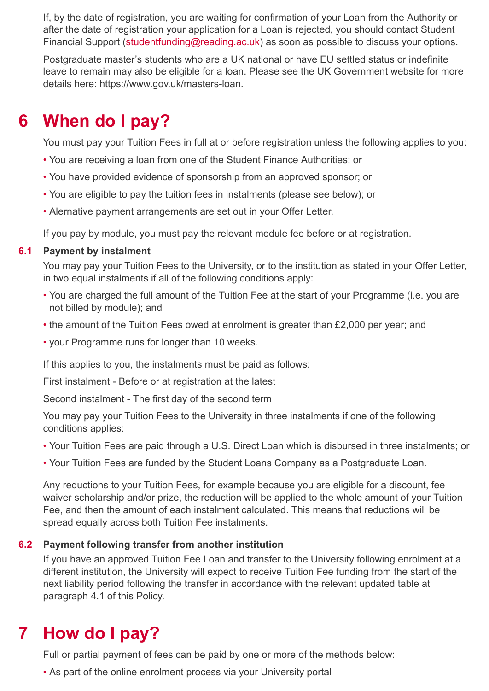If, by the date of registration, you are waiting for confirmation of your Loan from the Authority or after the date of registration your application for a Loan is rejected, you should contact Student Financial Support [\(studentfunding@reading.ac.uk\)](mailto:studentfunding@reading.ac.uk) as soon as possible to discuss your options.

Postgraduate master's students who are a UK national or have EU settled status or indefinite leave to remain may also be eligible for a loan. Please see the UK Government website for more details here: https://www.gov.uk/masters-loan.

### **When do I pay? 6**

You must pay your Tuition Fees in full at or before registration unless the following applies to you:

- You are receiving a loan from one of the Student Finance Authorities; or
- You have provided evidence of sponsorship from an approved sponsor; or
- You are eligible to pay the tuition fees in instalments (please see below); or
- Alernative payment arrangements are set out in your Offer Letter.

If you pay by module, you must pay the relevant module fee before or at registration.

#### **Payment by instalment 6.1**

You may pay your Tuition Fees to the University, or to the institution as stated in your Offer Letter, in two equal instalments if all of the following conditions apply:

- You are charged the full amount of the Tuition Fee at the start of your Programme (i.e. you are not billed by module); and
- the amount of the Tuition Fees owed at enrolment is greater than £2,000 per year; and
- your Programme runs for longer than 10 weeks.

If this applies to you, the instalments must be paid as follows:

First instalment - Before or at registration at the latest

Second instalment - The first day of the second term

You may pay your Tuition Fees to the University in three instalments if one of the following conditions applies:

- Your Tuition Fees are paid through a U.S. Direct Loan which is disbursed in three instalments; or
- Your Tuition Fees are funded by the Student Loans Company as a Postgraduate Loan.

Any reductions to your Tuition Fees, for example because you are eligible for a discount, fee waiver scholarship and/or prize, the reduction will be applied to the whole amount of your Tuition Fee, and then the amount of each instalment calculated. This means that reductions will be spread equally across both Tuition Fee instalments.

#### **Payment following transfer from another institution 6.2**

If you have an approved Tuition Fee Loan and transfer to the University following enrolment at a different institution, the University will expect to receive Tuition Fee funding from the start of the next liability period following the transfer in accordance with the relevant updated table at paragraph 4.1 of this Policy.

### **How do I pay? 7**

Full or partial payment of fees can be paid by one or more of the methods below:

• As part of the online enrolment process via your University portal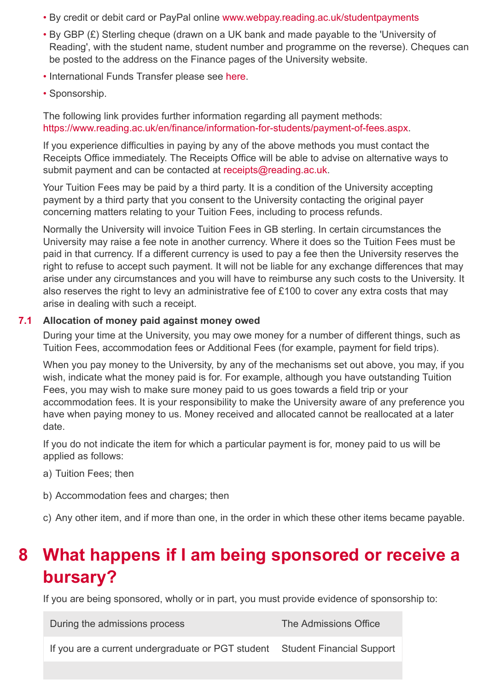- By credit or debit card or PayPal online [www.webpay.reading.ac.uk/studentpayments](https://www.webpay.reading.ac.uk/studentpayments)
- By GBP (£) Sterling cheque (drawn on a UK bank and made payable to the 'University of Reading', with the student name, student number and programme on the reverse). Cheques can be posted to the address on the Finance pages of the University website.
- International Funds Transfer please see [here](https://student.globalpay.wu.com/geo-buyer/readinguni#!/).
- Sponsorship.

The following link provides further information regarding all payment methods: [https://www.reading.ac.uk/en/finance/information-for-students/payment-of-fees.aspx.](https://www.reading.ac.uk/en/finance/information-for-students/payment-of-fees.aspx)

If you experience difficulties in paying by any of the above methods you must contact the Receipts Office immediately. The Receipts Office will be able to advise on alternative ways to submit payment and can be contacted at [receipts@reading.ac.uk](mailto:receipts@reading.ac.uk).

Your Tuition Fees may be paid by a third party. It is a condition of the University accepting payment by a third party that you consent to the University contacting the original payer concerning matters relating to your Tuition Fees, including to process refunds.

Normally the University will invoice Tuition Fees in GB sterling. In certain circumstances the University may raise a fee note in another currency. Where it does so the Tuition Fees must be paid in that currency. If a different currency is used to pay a fee then the University reserves the right to refuse to accept such payment. It will not be liable for any exchange differences that may arise under any circumstances and you will have to reimburse any such costs to the University. It also reserves the right to levy an administrative fee of £100 to cover any extra costs that may arise in dealing with such a receipt.

#### **Allocation of money paid against money owed 7.1**

During your time at the University, you may owe money for a number of different things, such as Tuition Fees, accommodation fees or Additional Fees (for example, payment for field trips).

When you pay money to the University, by any of the mechanisms set out above, you may, if you wish, indicate what the money paid is for. For example, although you have outstanding Tuition Fees, you may wish to make sure money paid to us goes towards a field trip or your accommodation fees. It is your responsibility to make the University aware of any preference you have when paying money to us. Money received and allocated cannot be reallocated at a later date.

If you do not indicate the item for which a particular payment is for, money paid to us will be applied as follows:

- a) Tuition Fees; then
- b) Accommodation fees and charges; then
- c) Any other item, and if more than one, in the order in which these other items became payable.

## **What happens if I am being sponsored or receive a bursary? 8**

If you are being sponsored, wholly or in part, you must provide evidence of sponsorship to:

During the admissions process The Admissions Office If you are a current undergraduate or PGT student Student Financial Support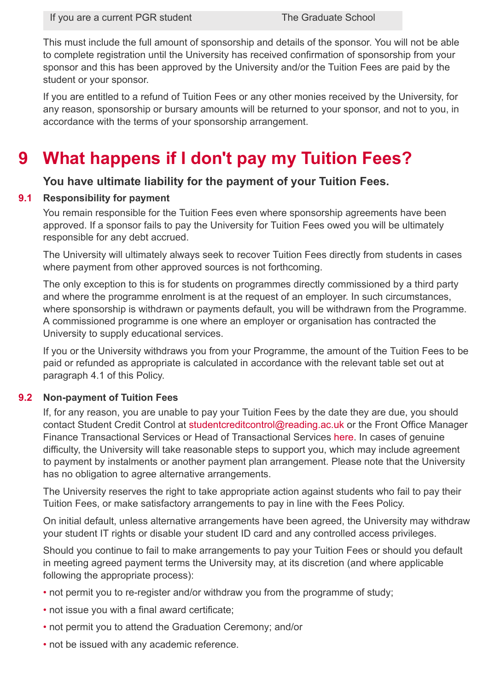This must include the full amount of sponsorship and details of the sponsor. You will not be able to complete registration until the University has received confirmation of sponsorship from your sponsor and this has been approved by the University and/or the Tuition Fees are paid by the student or your sponsor.

If you are entitled to a refund of Tuition Fees or any other monies received by the University, for any reason, sponsorship or bursary amounts will be returned to your sponsor, and not to you, in accordance with the terms of your sponsorship arrangement.

### **What happens if I don't pay my Tuition Fees? 9**

## **You have ultimate liability for the payment of your Tuition Fees.**

#### **Responsibility for payment 9.1**

You remain responsible for the Tuition Fees even where sponsorship agreements have been approved. If a sponsor fails to pay the University for Tuition Fees owed you will be ultimately responsible for any debt accrued.

The University will ultimately always seek to recover Tuition Fees directly from students in cases where payment from other approved sources is not forthcoming.

The only exception to this is for students on programmes directly commissioned by a third party and where the programme enrolment is at the request of an employer. In such circumstances, where sponsorship is withdrawn or payments default, you will be withdrawn from the Programme. A commissioned programme is one where an employer or organisation has contracted the University to supply educational services.

If you or the University withdraws you from your Programme, the amount of the Tuition Fees to be paid or refunded as appropriate is calculated in accordance with the relevant table set out at paragraph 4.1 of this Policy.

#### **Non-payment of Tuition Fees 9.2**

If, for any reason, you are unable to pay your Tuition Fees by the date they are due, you should contact Student Credit Control at [studentcreditcontrol@reading.ac.uk](mailto:studentcreditcontrol@reading.ac.uk) or the Front Office Manager Finance Transactional Services or Head of Transactional Services [here.](http://www.reading.ac.uk/internal/finance/) In cases of genuine difficulty, the University will take reasonable steps to support you, which may include agreement to payment by instalments or another payment plan arrangement. Please note that the University has no obligation to agree alternative arrangements.

The University reserves the right to take appropriate action against students who fail to pay their Tuition Fees, or make satisfactory arrangements to pay in line with the Fees Policy.

On initial default, unless alternative arrangements have been agreed, the University may withdraw your student IT rights or disable your student ID card and any controlled access privileges.

Should you continue to fail to make arrangements to pay your Tuition Fees or should you default in meeting agreed payment terms the University may, at its discretion (and where applicable following the appropriate process):

- not permit you to re-register and/or withdraw you from the programme of study;
- not issue you with a final award certificate;
- not permit you to attend the Graduation Ceremony; and/or
- not be issued with any academic reference.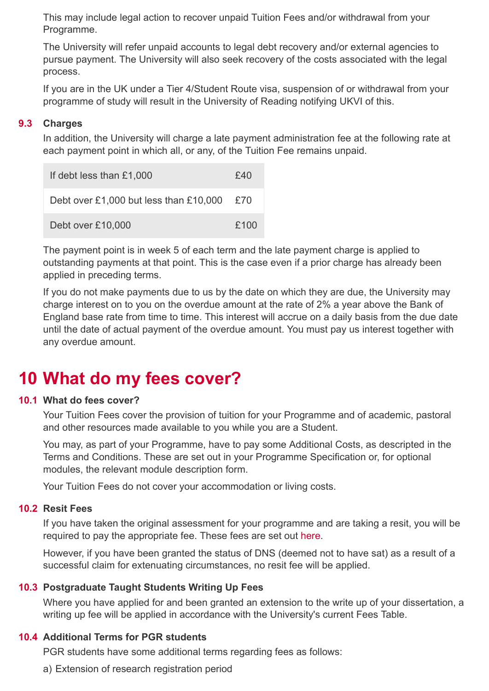This may include legal action to recover unpaid Tuition Fees and/or withdrawal from your Programme.

The University will refer unpaid accounts to legal debt recovery and/or external agencies to pursue payment. The University will also seek recovery of the costs associated with the legal process.

If you are in the UK under a Tier 4/Student Route visa, suspension of or withdrawal from your programme of study will result in the University of Reading notifying UKVI of this.

#### **Charges 9.3**

In addition, the University will charge a late payment administration fee at the following rate at each payment point in which all, or any, of the Tuition Fee remains unpaid.

| If debt less than £1,000               | £40  |
|----------------------------------------|------|
| Debt over £1,000 but less than £10,000 | £70  |
| Debt over £10,000                      | £100 |

The payment point is in week 5 of each term and the late payment charge is applied to outstanding payments at that point. This is the case even if a prior charge has already been applied in preceding terms.

If you do not make payments due to us by the date on which they are due, the University may charge interest on to you on the overdue amount at the rate of 2% a year above the Bank of England base rate from time to time. This interest will accrue on a daily basis from the due date until the date of actual payment of the overdue amount. You must pay us interest together with any overdue amount.

## **10 What do my fees cover?**

## **What do fees cover? 10.1**

Your Tuition Fees cover the provision of tuition for your Programme and of academic, pastoral and other resources made available to you while you are a Student.

You may, as part of your Programme, have to pay some Additional Costs, as descripted in the Terms and Conditions. These are set out in your Programme Specification or, for optional modules, the relevant module description form.

Your Tuition Fees do not cover your accommodation or living costs.

## **Resit Fees 10.2**

If you have taken the original assessment for your programme and are taking a resit, you will be required to pay the appropriate fee. These fees are set out [here](http://www.reading.ac.uk/internal/exams/student/exa-fees.aspx).

However, if you have been granted the status of DNS (deemed not to have sat) as a result of a successful claim for extenuating circumstances, no resit fee will be applied.

## **Postgraduate Taught Students Writing Up Fees 10.3**

Where you have applied for and been granted an extension to the write up of your dissertation, a writing up fee will be applied in accordance with the University's current Fees Table.

## **Additional Terms for PGR students 10.4**

PGR students have some additional terms regarding fees as follows:

a) Extension of research registration period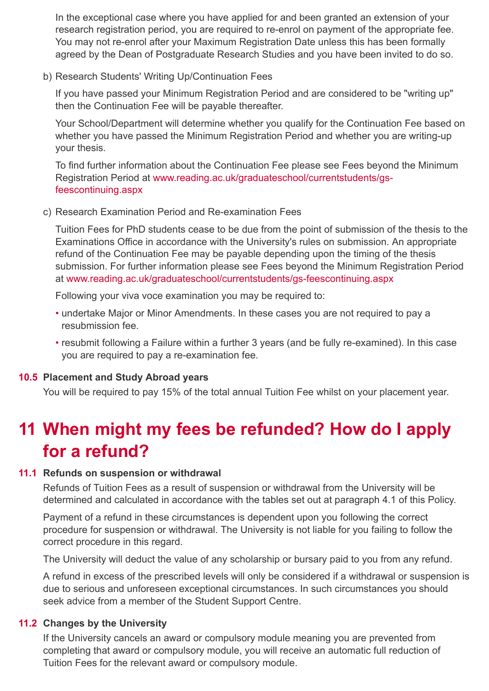In the exceptional case where you have applied for and been granted an extension of your research registration period, you are required to re-enrol on payment of the appropriate fee. You may not re-enrol after your Maximum Registration Date unless this has been formally agreed by the Dean of Postgraduate Research Studies and you have been invited to do so.

b) Research Students' Writing Up/Continuation Fees

If you have passed your Minimum Registration Period and are considered to be "writing up" then the Continuation Fee will be payable thereafter.

Your School/Department will determine whether you qualify for the Continuation Fee based on whether you have passed the Minimum Registration Period and whether you are writing-up your thesis.

To find further information about the Continuation Fee please see Fees beyond the Minimum [Registration Period at www.reading.ac.uk/graduateschool/currentstudents/gs](http://www.reading.ac.uk/graduateschool/currentstudents/gs-feescontinuing.aspx)feescontinuing.aspx

c) Research Examination Period and Re-examination Fees

Tuition Fees for PhD students cease to be due from the point of submission of the thesis to the Examinations Office in accordance with the University's rules on submission. An appropriate refund of the Continuation Fee may be payable depending upon the timing of the thesis submission. For further information please see Fees beyond the Minimum Registration Period at [www.reading.ac.uk/graduateschool/currentstudents/gs-feescontinuing.aspx](http://www.reading.ac.uk/graduateschool/currentstudents/gs-feescontinuing.aspx)

Following your viva voce examination you may be required to:

- undertake Major or Minor Amendments. In these cases you are not required to pay a resubmission fee.
- resubmit following a Failure within a further 3 years (and be fully re-examined). In this case you are required to pay a re-examination fee.

## **Placement and Study Abroad years 10.5**

You will be required to pay 15% of the total annual Tuition Fee whilst on your placement year.

## **When might my fees be refunded? How do I apply 11 for a refund?**

## **Refunds on suspension or withdrawal 11.1**

Refunds of Tuition Fees as a result of suspension or withdrawal from the University will be determined and calculated in accordance with the tables set out at paragraph 4.1 of this Policy.

Payment of a refund in these circumstances is dependent upon you following the correct procedure for suspension or withdrawal. The University is not liable for you failing to follow the correct procedure in this regard.

The University will deduct the value of any scholarship or bursary paid to you from any refund.

A refund in excess of the prescribed levels will only be considered if a withdrawal or suspension is due to serious and unforeseen exceptional circumstances. In such circumstances you should seek advice from a member of the Student Support Centre.

## **Changes by the University 11.2**

If the University cancels an award or compulsory module meaning you are prevented from completing that award or compulsory module, you will receive an automatic full reduction of Tuition Fees for the relevant award or compulsory module.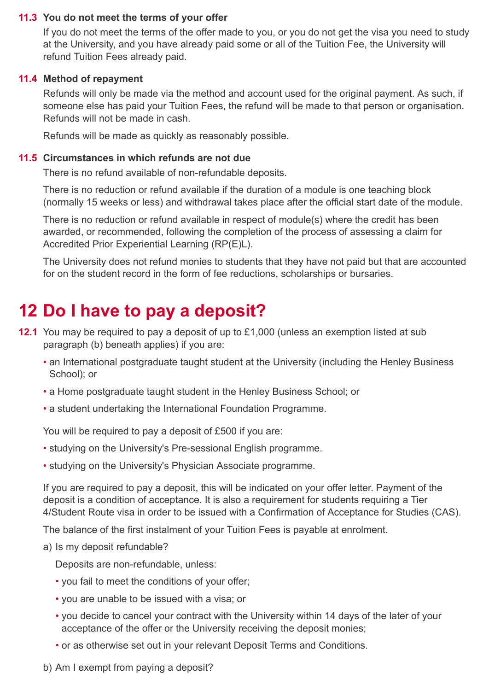## **You do not meet the terms of your offer 11.3**

If you do not meet the terms of the offer made to you, or you do not get the visa you need to study at the University, and you have already paid some or all of the Tuition Fee, the University will refund Tuition Fees already paid.

## **Method of repayment 11.4**

Refunds will only be made via the method and account used for the original payment. As such, if someone else has paid your Tuition Fees, the refund will be made to that person or organisation. Refunds will not be made in cash.

Refunds will be made as quickly as reasonably possible.

## 11.5 Circumstances in which refunds are not due

There is no refund available of non-refundable deposits.

There is no reduction or refund available if the duration of a module is one teaching block (normally 15 weeks or less) and withdrawal takes place after the official start date of the module.

There is no reduction or refund available in respect of module(s) where the credit has been awarded, or recommended, following the completion of the process of assessing a claim for Accredited Prior Experiential Learning (RP(E)L).

The University does not refund monies to students that they have not paid but that are accounted for on the student record in the form of fee reductions, scholarships or bursaries.

## **12 Do I have to pay a deposit?**

- **12.1** You may be required to pay a deposit of up to £1,000 (unless an exemption listed at sub paragraph (b) beneath applies) if you are:
	- an International postgraduate taught student at the University (including the Henley Business School); or
	- a Home postgraduate taught student in the Henley Business School; or
	- a student undertaking the International Foundation Programme.

You will be required to pay a deposit of £500 if you are:

- studying on the University's Pre-sessional English programme.
- studying on the University's Physician Associate programme.

If you are required to pay a deposit, this will be indicated on your offer letter. Payment of the deposit is a condition of acceptance. It is also a requirement for students requiring a Tier 4/Student Route visa in order to be issued with a Confirmation of Acceptance for Studies (CAS).

The balance of the first instalment of your Tuition Fees is payable at enrolment.

a) Is my deposit refundable?

Deposits are non-refundable, unless:

- you fail to meet the conditions of your offer;
- you are unable to be issued with a visa; or
- you decide to cancel your contract with the University within 14 days of the later of your acceptance of the offer or the University receiving the deposit monies;
- or as otherwise set out in your relevant Deposit Terms and Conditions.
- b) Am I exempt from paying a deposit?